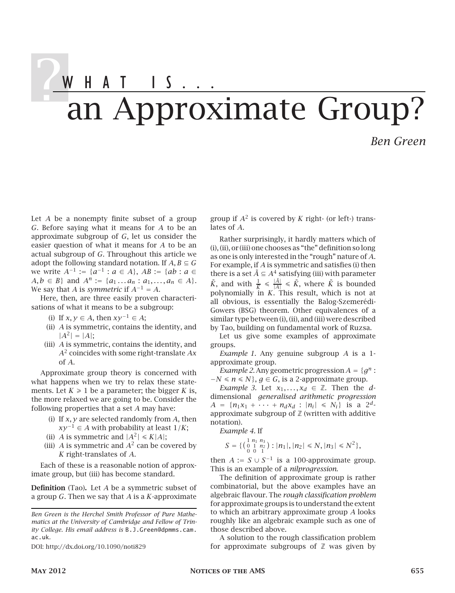## WHAT IS. an Approximate Group?

## *Ben Green*

Let *A* be a nonempty finite subset of a group *G*. Before saying what it means for *A* to be an approximate subgroup of *G*, let us consider the easier question of what it means for *A* to be an actual subgroup of *G*. Throughout this article we adopt the following standard notation. If  $A, B \subseteq G$ we write  $A^{-1}$  := { $a^{-1}$  :  $a \in A$ },  $AB$  := { $ab : a \in$  $A, b \in B$  and  $A^n := \{a_1 \dots a_n : a_1, \dots, a_n \in A\}.$ We say that *A* is *symmetric* if  $A^{-1} = A$ .

Here, then, are three easily proven characterisations of what it means to be a subgroup:

- (i) If *x*, *y* ∈ *A*, then  $xy^{-1}$  ∈ *A*;
- (ii) *A* is symmetric, contains the identity, and  $|A^2| = |A|$ ;
- (iii) *A* is symmetric, contains the identity, and *A*<sup>2</sup> coincides with some right-translate *Ax* of *A*.

Approximate group theory is concerned with what happens when we try to relax these statements. Let  $K \geq 1$  be a parameter; the bigger *K* is, the more relaxed we are going to be. Consider the following properties that a set *A* may have:

- (i) If *x, y* are selected randomly from *A*, then  $xy^{-1} \in A$  with probability at least  $1/K$ ;
- (ii) *A* is symmetric and  $|A^2| \le K|A|$ ;
- (iii) *A* is symmetric and  $A^2$  can be covered by *K* right-translates of *A*.

Each of these is a reasonable notion of approximate group, but (iii) has become standard.

Definition (Tao). Let *A* be a symmetric subset of a group *G*. Then we say that *A* is a *K*-approximate

group if  $A^2$  is covered by  $K$  right- (or left-) translates of *A*.

Rather surprisingly, it hardly matters which of (i), (ii), or (iii) one chooses as "the" definition so long as one is only interested in the "rough" nature of *A*. For example, if *A* is symmetric and satisfies (i) then there is a set  $\tilde{A} \subseteq A^4$  satisfying (iii) with parameter  $\tilde{K}$ , and with  $\frac{1}{\tilde{K}} \le \frac{|\tilde{A}|}{|A|} \le \tilde{K}$ , where  $\tilde{K}$  is bounded polynomially in *K*. This result, which is not at all obvious, is essentially the Balog-Szemerédi-Gowers (BSG) theorem. Other equivalences of a similar type between (i), (ii), and (iii) were described by Tao, building on fundamental work of Ruzsa.

Let us give some examples of approximate groups.

*Example 1.* Any genuine subgroup *A* is a 1 approximate group.

*Example 2.* Any geometric progression  $A = \{g^n : f\}$  $-N \le n \le N$ ,  $q \in G$ , is a 2-approximate group.

*Example 3.* Let  $x_1, \ldots, x_d \in \mathbb{Z}$ . Then the *d*dimensional *generalised arithmetic progression*  $A = \{n_1x_1 + \cdots + n_dx_d : |n_i| \le N_i\}$  is a 2<sup>*d*</sup> approximate subgroup of  $\mathbb Z$  (written with additive notation).

*Example 4.* If

$$
S = \{ \left( \begin{smallmatrix} 1 & n_1 & n_3 \\ 0 & 1 & n_2 \\ 0 & 0 & 1 \end{smallmatrix} \right) : |n_1|, |n_2| \le N, |n_3| \le N^2 \},\
$$

then  $A := S \cup S^{-1}$  is a 100-approximate group. This is an example of a *nilprogression*.

The definition of approximate group is rather combinatorial, but the above examples have an algebraic flavour. The *rough classification problem* for approximate groups is to understand the extent to which an arbitrary approximate group *A* looks roughly like an algebraic example such as one of those described above.

A solution to the rough classification problem for approximate subgroups of  $\mathbb Z$  was given by

*Ben Green is the Herchel Smith Professor of Pure Mathematics at the University of Cambridge and Fellow of Trinity College. His email address is* B.J.Green@dpmms.cam. ac.uk*.*

DOI: http://dx.doi.org/10.1090/noti829